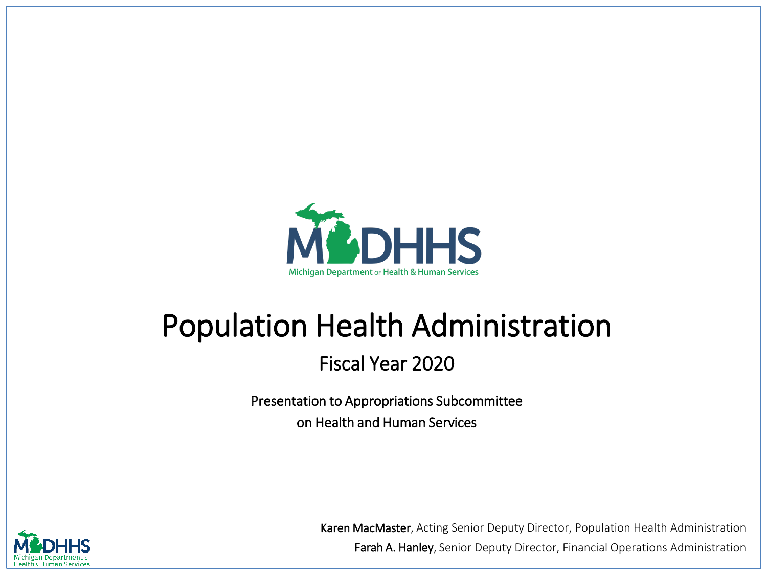

# Population Health Administration

### Fiscal Year 2020

Presentation to Appropriations Subcommittee on Health and Human Services



Karen MacMaster, Acting Senior Deputy Director, Population Health Administration Farah A. Hanley, Senior Deputy Director, Financial Operations Administration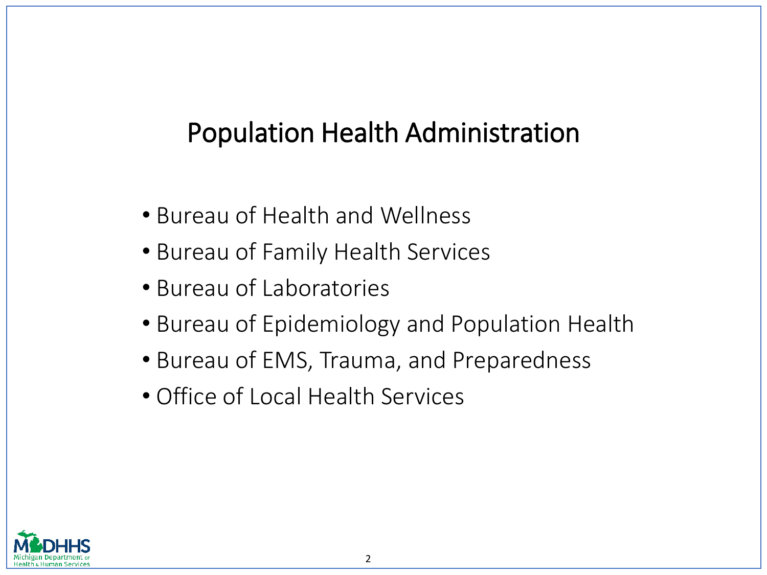### Population Health Administration

- Bureau of Health and Wellness
- Bureau of Family Health Services
- Bureau of Laboratories
- Bureau of Epidemiology and Population Health
- Bureau of EMS, Trauma, and Preparedness
- Office of Local Health Services

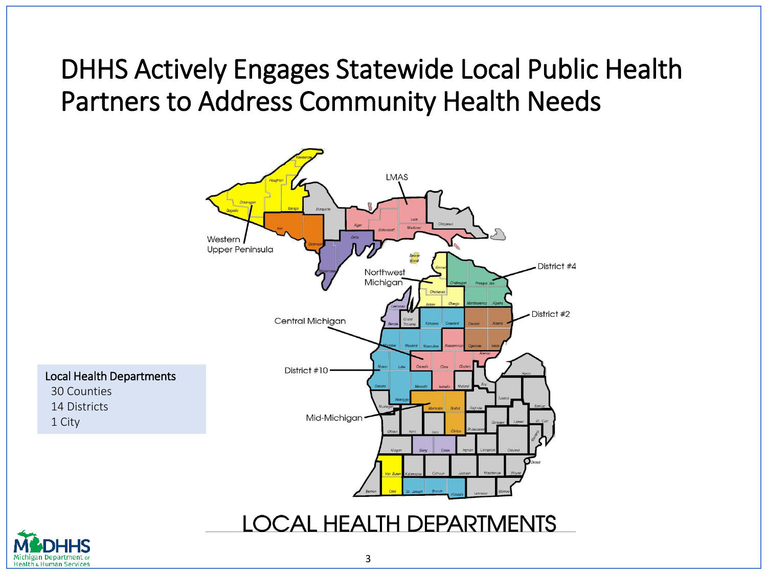### DHHS Actively Engages Statewide Local Public Health Partners to Address Community Health Needs



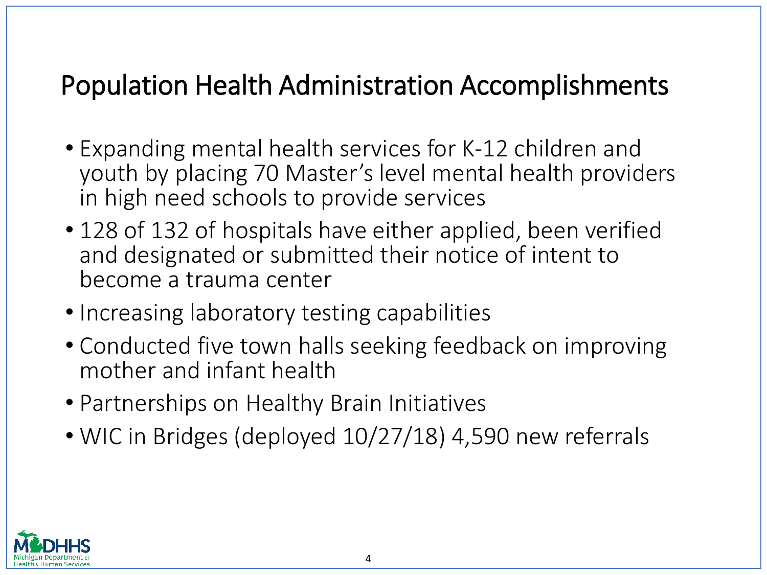### Population Health Administration Accomplishments

- Expanding mental health services for K-12 children and youth by placing 70 Master's level mental health providers in high need schools to provide services
- 128 of 132 of hospitals have either applied, been verified and designated or submitted their notice of intent to become a trauma center
- Increasing laboratory testing capabilities
- Conducted five town halls seeking feedback on improving mother and infant health
- Partnerships on Healthy Brain Initiatives
- WIC in Bridges (deployed 10/27/18) 4,590 new referrals

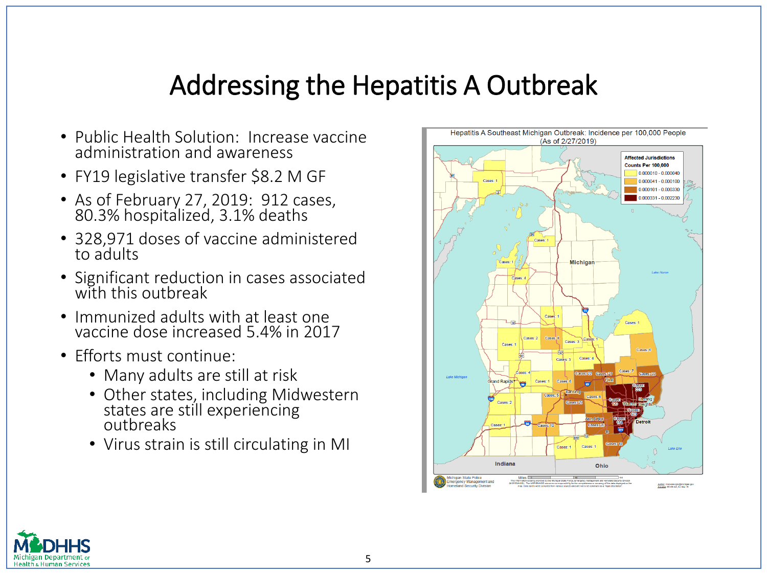### Addressing the Hepatitis A Outbreak

- Public Health Solution: Increase vaccine administration and awareness
- FY19 legislative transfer \$8.2 M GF
- As of February 27, 2019: 912 cases, 80.3% hospitalized, 3.1% deaths
- 328,971 doses of vaccine administered to adults
- Significant reduction in cases associated with this outbreak
- Immunized adults with at least one vaccine dose increased 5.4% in 2017
- Efforts must continue:
	- Many adults are still at risk
	- Other states, including Midwestern states are still experiencing outbreaks
	- Virus strain is still circulating in MI



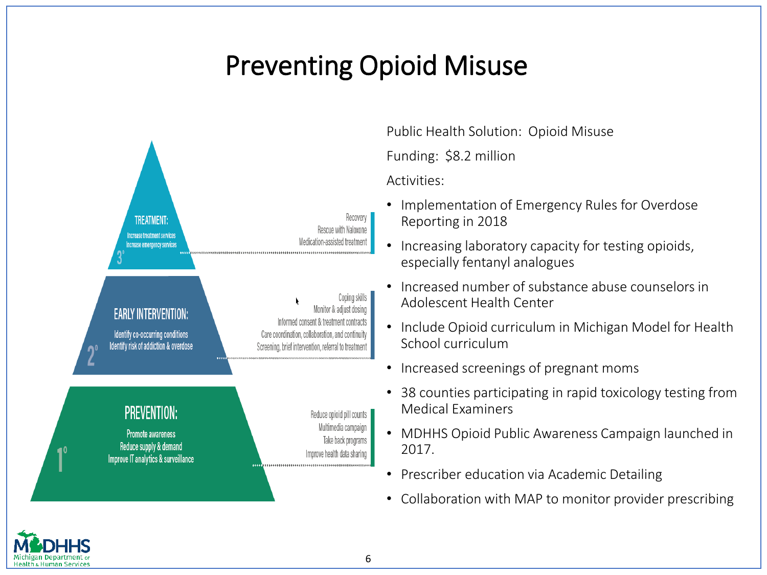# Preventing Opioid Misuse



Public Health Solution: Opioid Misuse

Funding: \$8.2 million

Activities:

- Implementation of Emergency Rules for Overdose Reporting in 2018
- Increasing laboratory capacity for testing opioids, especially fentanyl analogues
- Increased number of substance abuse counselors in Adolescent Health Center
- Include Opioid curriculum in Michigan Model for Health School curriculum
- Increased screenings of pregnant moms
- 38 counties participating in rapid toxicology testing from Medical Examiners
- MDHHS Opioid Public Awareness Campaign launched in 2017.
- Prescriber education via Academic Detailing
- Collaboration with MAP to monitor provider prescribing

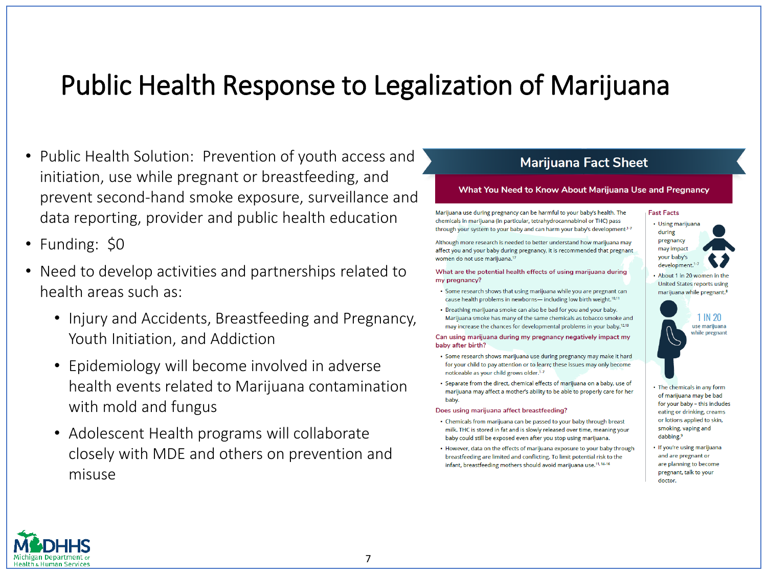### Public Health Response to Legalization of Marijuana

- Public Health Solution: Prevention of youth access and initiation, use while pregnant or breastfeeding, and prevent second-hand smoke exposure, surveillance and data reporting, provider and public health education
- Funding: \$0
- Need to develop activities and partnerships related to health areas such as:
	- Injury and Accidents, Breastfeeding and Pregnancy, Youth Initiation, and Addiction
	- Epidemiology will become involved in adverse health events related to Marijuana contamination with mold and fungus
	- Adolescent Health programs will collaborate closely with MDE and others on prevention and misuse

### **Marijuana Fact Sheet**

#### What You Need to Know About Marijuana Use and Pregnancy

Marijuana use during pregnancy can be harmful to your baby's health. The chemicals in marijuana (in particular, tetrahydrocannabinol or THC) pass through your system to your baby and can harm your baby's development<sup>1-7</sup>

Although more research is needed to better understand how marijuana may affect you and your baby during pregnancy, it is recommended that pregnant women do not use marijuana.<sup>17</sup>

#### What are the potential health effects of using marijuana during my pregnancy?

- · Some research shows that using marijuana while you are pregnant can cause health problems in newborns-including low birth weight.<sup>10,11</sup>
- . Breathing marijuana smoke can also be bad for you and your baby. Marijuana smoke has many of the same chemicals as tobacco smoke and may increase the chances for developmental problems in your baby.<sup>12,13</sup>

Can using marijuana during my pregnancy negatively impact my baby after birth?

- · Some research shows marijuana use during pregnancy may make it hard for your child to pay attention or to learn; these issues may only become noticeable as your child grows older.<sup>1-7</sup>
- · Separate from the direct, chemical effects of marijuana on a baby, use of marijuana may affect a mother's ability to be able to properly care for her baby.

#### Does using marijuana affect breastfeeding?

- Chemicals from marijuana can be passed to your baby through breast milk. THC is stored in fat and is slowly released over time, meaning your baby could still be exposed even after you stop using marijuana.
- However, data on the effects of marijuana exposure to your baby through breastfeeding are limited and conflicting. To limit potential risk to the infant, breastfeeding mothers should avoid marijuana use.<sup>11, 14-16</sup>



• About 1 in 20 women in the United States reports using marijuana while pregnant.<sup>8</sup>



- The chemicals in any form of marijuana may be bad for your baby - this includes eating or drinking, creams or lotions applied to skin, smoking, vaping and dabbing.<sup>9</sup>
- · If you're using marijuana and are pregnant or are planning to become pregnant, talk to your doctor.

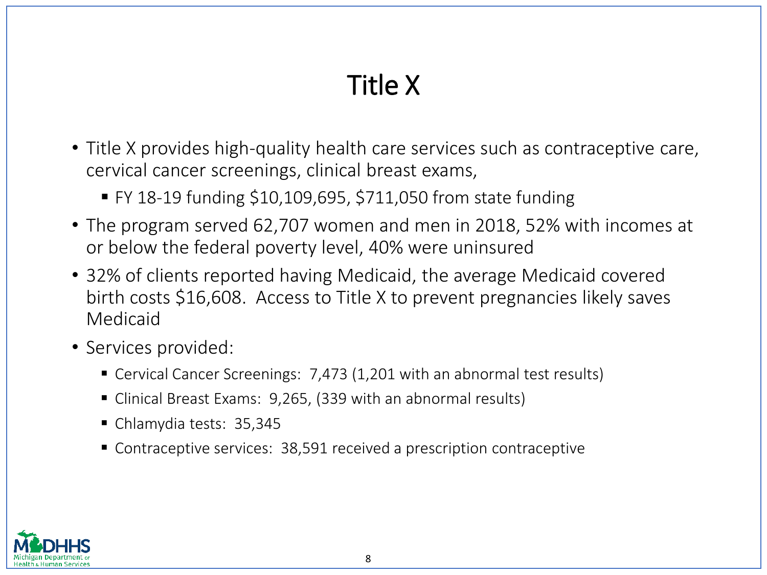# Title X

- Title X provides high-quality health care services such as contraceptive care, cervical cancer screenings, clinical breast exams,
	- $\blacktriangleright$  FY 18-19 funding \$10,109,695, \$711,050 from state funding
- The program served 62,707 women and men in 2018, 52% with incomes at or below the federal poverty level, 40% were uninsured
- 32% of clients reported having Medicaid, the average Medicaid covered birth costs \$16,608. Access to Title X to prevent pregnancies likely saves Medicaid
- Services provided:
	- Cervical Cancer Screenings: 7,473 (1,201 with an abnormal test results)
	- Clinical Breast Exams: 9,265, (339 with an abnormal results)
	- Chlamydia tests: 35,345
	- Contraceptive services: 38,591 received a prescription contraceptive

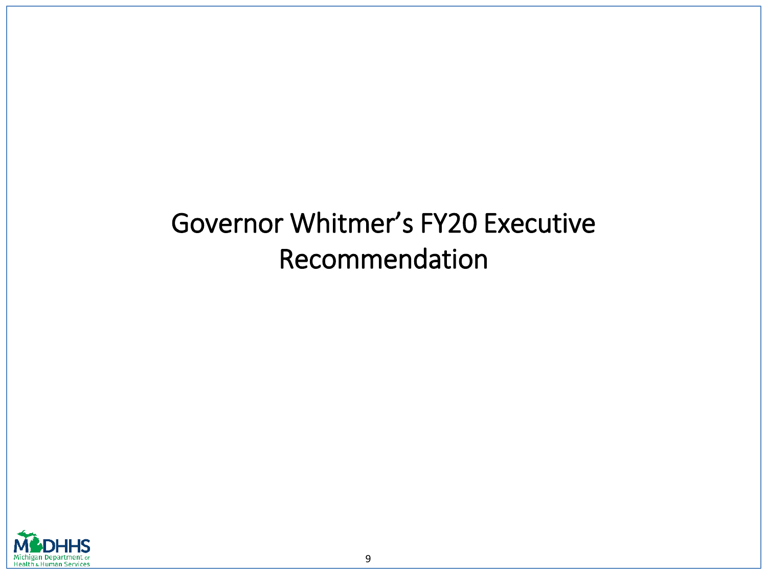# Governor Whitmer's FY20 Executive Recommendation

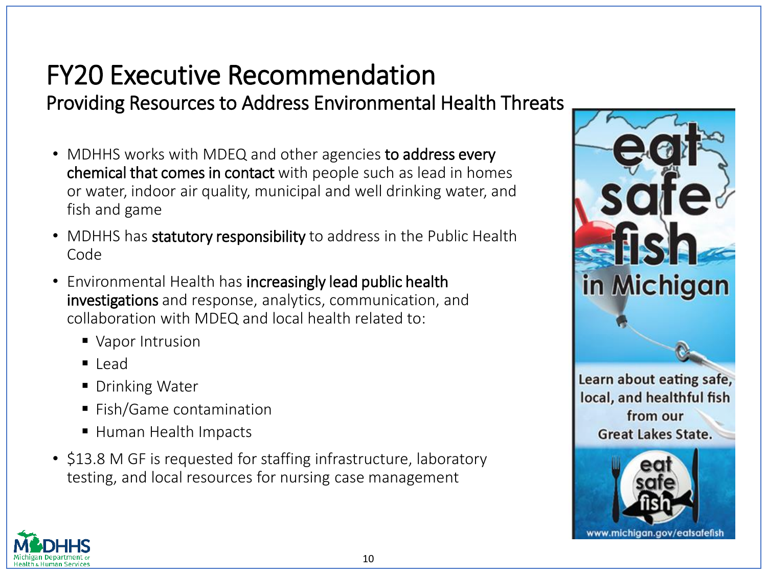### FY20 Executive Recommendation Providing Resources to Address Environmental Health Threats

- MDHHS works with MDEQ and other agencies to address every chemical that comes in contact with people such as lead in homes or water, indoor air quality, municipal and well drinking water, and fish and game
- MDHHS has statutory responsibility to address in the Public Health Code
- Environmental Health has increasingly lead public health investigations and response, analytics, communication, and collaboration with MDEQ and local health related to:
	- Vapor Intrusion
	- $\blacksquare$  Lead
	- Drinking Water
	- Fish/Game contamination
	- Human Health Impacts
- \$13.8 M GF is requested for staffing infrastructure, laboratory testing, and local resources for nursing case management



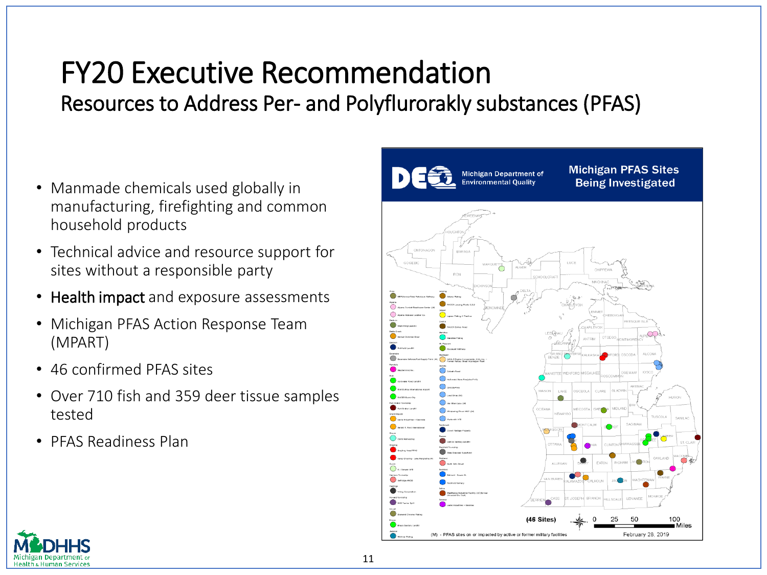### FY20 Executive Recommendation Resources to Address Per- and Polyflurorakly substances (PFAS)

- Manmade chemicals used globally in manufacturing, firefighting and common household products
- Technical advice and resource support for sites without a responsible party
- Health impact and exposure assessments
- Michigan PFAS Action Response Team (MPART)
- 46 confirmed PFAS sites
- Over 710 fish and 359 deer tissue samples tested
- PFAS Readiness Plan



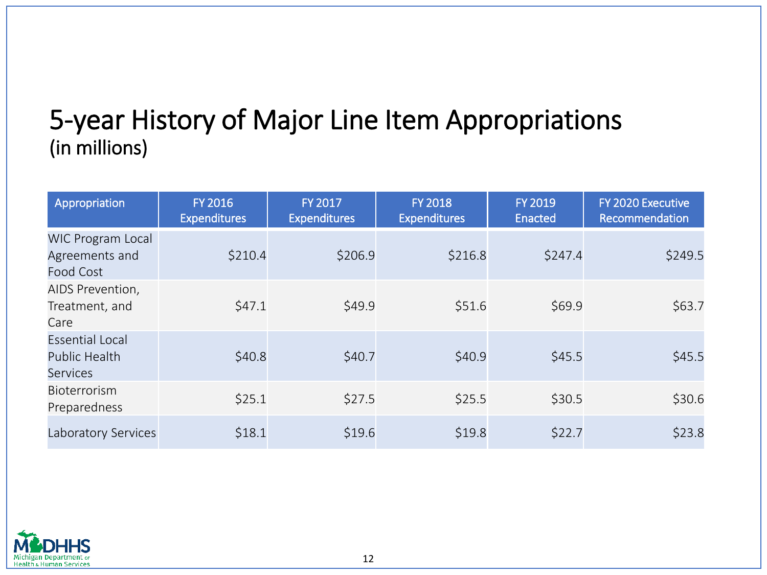### 5-year History of Major Line Item Appropriations (in millions)

| Appropriation                                                     | <b>FY 2016</b><br><b>Expenditures</b> | <b>FY 2017</b><br><b>Expenditures</b> | <b>FY 2018</b><br><b>Expenditures</b> | <b>FY 2019</b><br><b>Enacted</b> | FY 2020 Executive<br>Recommendation |
|-------------------------------------------------------------------|---------------------------------------|---------------------------------------|---------------------------------------|----------------------------------|-------------------------------------|
| <b>WIC Program Local</b><br>Agreements and<br><b>Food Cost</b>    | \$210.4                               | \$206.9                               | \$216.8                               | \$247.4                          | \$249.5                             |
| AIDS Prevention,<br>Treatment, and<br>Care                        | \$47.1                                | \$49.9                                | \$51.6                                | \$69.9                           | \$63.7                              |
| <b>Essential Local</b><br><b>Public Health</b><br><b>Services</b> | \$40.8                                | \$40.7                                | \$40.9                                | \$45.5                           | \$45.5                              |
| <b>Bioterrorism</b><br>Preparedness                               | \$25.1                                | \$27.5                                | \$25.5                                | \$30.5                           | \$30.6                              |
| Laboratory Services                                               | \$18.1                                | \$19.6                                | \$19.8                                | \$22.7                           | \$23.8                              |